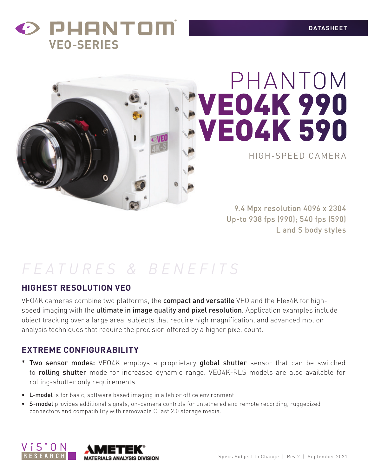



# HIGH-SPEED CAMERA PHANTOM VEO4K 990 VEO4K 590

9.4 Mpx resolution 4096 x 2304 Up-to 938 fps (990); 540 fps (590) L and S body styles

## *FEATURES & BENEFITS*

#### **HIGHEST RESOLUTION VEO**

VEO4K cameras combine two platforms, the **compact and versatile** VEO and the Flex4K for highspeed imaging with the **ultimate in image quality and pixel resolution**. Application examples include object tracking over a large area, subjects that require high magnification, and advanced motion analysis techniques that require the precision offered by a higher pixel count.

#### **EXTREME CONFIGURABILITY**

- \* Two sensor modes: VEO4K employs a proprietary global shutter sensor that can be switched to **rolling shutter** mode for increased dynamic range. VEO4K-RLS models are also available for rolling-shutter only requirements.
- L-model is for basic, software based imaging in a lab or office environment
- S-model provides additional signals, on-camera controls for untethered and remote recording, ruggedized connectors and compatibility with removable CFast 2.0 storage media.

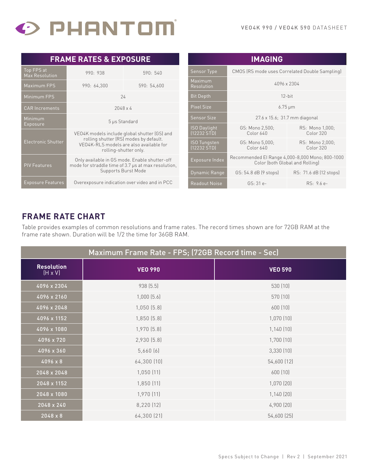

| <b>FRAME RATES &amp; EXPOSURE</b>     |                                                                                                                                                            |             |                         |
|---------------------------------------|------------------------------------------------------------------------------------------------------------------------------------------------------------|-------------|-------------------------|
| Top FPS at<br><b>Max Resolution</b>   | 990: 938                                                                                                                                                   | 590:540     | Sensor                  |
| Maximum FPS                           | 990: 64,300                                                                                                                                                | 590: 54,600 | Maxim<br>Resolu         |
| Minimum FPS                           | 24                                                                                                                                                         |             | <b>Bit Dep</b>          |
| <b>CAR Increments</b>                 | $2048 \times 4$                                                                                                                                            |             | <b>Pixel S</b>          |
| Minimum                               | 5 µs Standard                                                                                                                                              |             | Sensor                  |
| Exposure<br><b>Electronic Shutter</b> | VE04K models include global shutter (GS) and<br>rolling shutter (RS) modes by default.<br>VEO4K-RLS models are also available for<br>rolling-shutter only. |             | ISO Da<br>(12232)       |
|                                       |                                                                                                                                                            |             | <b>ISO Tur</b><br>12232 |
| <b>PIV Features</b>                   | Only available in GS mode. Enable shutter-off<br>mode for straddle time of 3.7 µs at max resolution,                                                       |             | Exposu                  |
|                                       | Supports Burst Mode                                                                                                                                        |             | Dynam                   |
| <b>Exposure Features</b>              | Overexposure indication over video and in PCC                                                                                                              |             | Readou                  |

| <b>IMAGING</b>                     |                                                                                    |                              |
|------------------------------------|------------------------------------------------------------------------------------|------------------------------|
| <b>Sensor Type</b>                 | CMOS (RS mode uses Correlated Double Sampling)                                     |                              |
| Maximum<br>Resolution              | 4096 x 2304                                                                        |                              |
| <b>Bit Depth</b>                   | $12$ -hit                                                                          |                              |
| <b>Pixel Size</b>                  | $6.75 \,\mathrm{\upmu m}$                                                          |                              |
| <b>Sensor Size</b>                 | 27.6 x 15.6; 31.7 mm diagonal                                                      |                              |
| <b>ISO Daylight</b><br>(12232 STD) | GS: Mono 2,500;<br>Color 640                                                       | RS: Mono 1,000;<br>Color 320 |
| <b>ISO Tungsten</b><br>(12232 STD) | GS: Mono 5,000;<br>Color 640                                                       | RS: Mono 2,000;<br>Color 320 |
| Exposure Index                     | Recommended El Range 4,000-8,000 Mono; 800-1000<br>Color (both Global and Rolling) |                              |
| Dynamic Range                      | GS: 54.8 dB (9 stops)                                                              | RS: 71.6 dB (12 stops)       |
| <b>Readout Noise</b>               | $GS: 31e-$                                                                         | RS: 9.6 e-                   |

#### **FRAME RATE CHART**

Table provides examples of common resolutions and frame rates. The record times shown are for 72GB RAM at the frame rate shown. Duration will be 1/2 the time for 36GB RAM.

| Maximum Frame Rate - FPS; (72GB Record time - Sec) |                 |                |
|----------------------------------------------------|-----------------|----------------|
| <b>Resolution</b><br>$(H \times V)$                | <b>VEO 990</b>  | <b>VEO 590</b> |
| 4096 x 2304                                        | 938 (5.5)       | 530 (10)       |
| 4096 x 2160                                        | $1,000$ $(5.6)$ | 570 (10)       |
| 4096 x 2048                                        | 1,050(5.8)      | 600 (10)       |
| 4096 x 1152                                        | 1,850(5.8)      | 1,070(10)      |
| 4096 x 1080                                        | 1,970 [5.8]     | 1,140(10)      |
| 4096 x 720                                         | 2,930 (5.8)     | 1,700(10)      |
| 4096 x 360                                         | 5,660(6)        | 3,330 (10)     |
| 4096 x 8                                           | 64,300 (10)     | 54,600 (12)    |
| 2048 x 2048                                        | 1,050(11)       | 600 (10)       |
| 2048 x 1152                                        | 1,850 (11)      | 1,070(20)      |
| 2048 x 1080                                        | 1,970 (11)      | 1,140(20)      |
| 2048 x 240                                         | 8,220 (12)      | 4,900 (20)     |
| 2048 x 8                                           | 64,300 [21]     | 54,600 (25)    |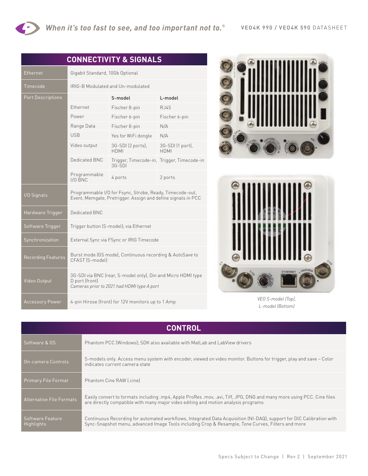| <b>CONNECTIVITY &amp; SIGNALS</b> |                                                                                                                              |                                                                                                                          |                                            |
|-----------------------------------|------------------------------------------------------------------------------------------------------------------------------|--------------------------------------------------------------------------------------------------------------------------|--------------------------------------------|
| Ethernet                          | Gigabit Standard, 10Gb Optional                                                                                              |                                                                                                                          |                                            |
| Timecode                          |                                                                                                                              | IRIG-B Modulated and Un-modulated                                                                                        |                                            |
| <b>Port Descriptions</b>          |                                                                                                                              | S-model                                                                                                                  | L-model                                    |
|                                   | Ethernet                                                                                                                     | Fischer 8-pin                                                                                                            | R.J45                                      |
|                                   | Power                                                                                                                        | Fischer 6-pin                                                                                                            | Fischer 6-pin                              |
|                                   | Range Data                                                                                                                   | Fischer 8-pin                                                                                                            | N/A                                        |
|                                   | <b>USB</b>                                                                                                                   | Yes for WiFi dongle                                                                                                      | N/A                                        |
|                                   | Video output                                                                                                                 | 3G-SDI (2 ports),<br>HDMI                                                                                                | 3G-SDI (1 port),<br><b>HDMI</b>            |
|                                   | Dedicated BNC                                                                                                                | $3G-SDI$                                                                                                                 | Trigger, Timecode-in, Trigger, Timecode-in |
|                                   | Programmable<br>$I/O$ BNC                                                                                                    | 4 ports                                                                                                                  | 2 ports                                    |
| I/O Signals                       |                                                                                                                              | Programmable I/O for Fsync, Strobe, Ready, Timecode-out,<br>Event, Memgate, Pretrigger. Assign and define signals in PCC |                                            |
| Hardware Trigger                  | Dedicated BNC                                                                                                                |                                                                                                                          |                                            |
| Software Trigger                  | Trigger button (S-model); via Ethernet                                                                                       |                                                                                                                          |                                            |
| Synchronization                   | External Sync via FSync or IRIG Timecode                                                                                     |                                                                                                                          |                                            |
| <b>Recording Features</b>         | CFAST [S-model]                                                                                                              | Burst mode (GS mode), Continuous recording & AutoSave to                                                                 |                                            |
| Video Output                      | 3G-SDI via BNC (rear, S-model only), Din and Micro HDMI type<br>D port (front)<br>Cameras prior to 2021 had HDMI type A port |                                                                                                                          |                                            |
| <b>Accessory Power</b>            | 4-pin Hirose (front) for 12V monitors up to 1 Amp                                                                            |                                                                                                                          |                                            |





*VEO S-model (Top), L-model (Bottom)*

| <b>CONTROL</b>                  |                                                                                                                                                                                                                           |  |
|---------------------------------|---------------------------------------------------------------------------------------------------------------------------------------------------------------------------------------------------------------------------|--|
| Software & OS                   | Phantom PCC (Windows); SDK also available with MatLab and LabView drivers                                                                                                                                                 |  |
| On-camera Controls              | S-models only. Access menu system with encoder, viewed on video monitor. Buttons for trigger, play and save – Color<br>indicates current camera state                                                                     |  |
| <b>Primary File Format</b>      | Phantom Cine RAW [.cine]                                                                                                                                                                                                  |  |
| <b>Alternative File Formats</b> | Easily convert to formats including .mp4, Apple ProRes .mov, .avi, Tiff, JPG, DNG and many more using PCC. Cine files<br>are directly compatible with many major video editing and motion analysis programs               |  |
| Software Feature<br>Highlights  | Continuous Recording for automated workflows, Integrated Data Acquisition (NI-DAQ), support for DIC Calibration with<br>Sync-Snapshot menu, advanced Image Tools including Crop & Resample, Tone Curves, Filters and more |  |